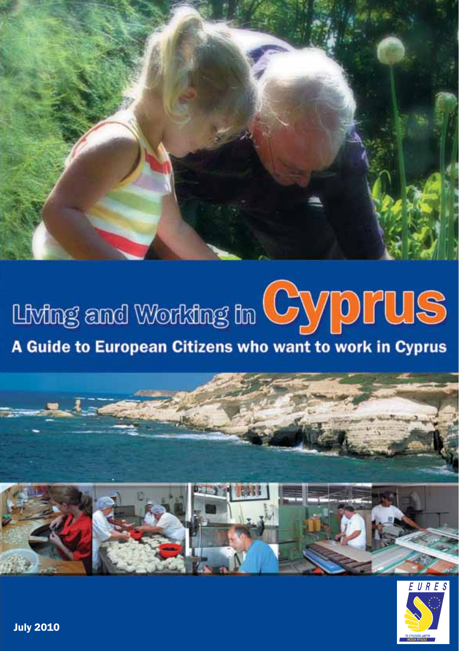

## Living and Working in CyppPUS A Guide to European Citizens who want to work in Cyprus





**July 2010**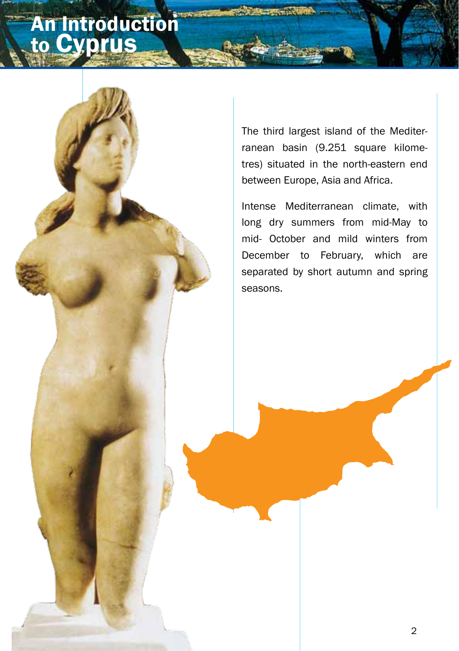## An Introduction to Cyprus

The third largest island of the Mediterranean basin (9.251 square kilometres) situated in the north-eastern end between Europe, Asia and Africa.

Intense Mediterranean climate, with long dry summers from mid-May to mid- October and mild winters from December to February, which are separated by short autumn and spring seasons.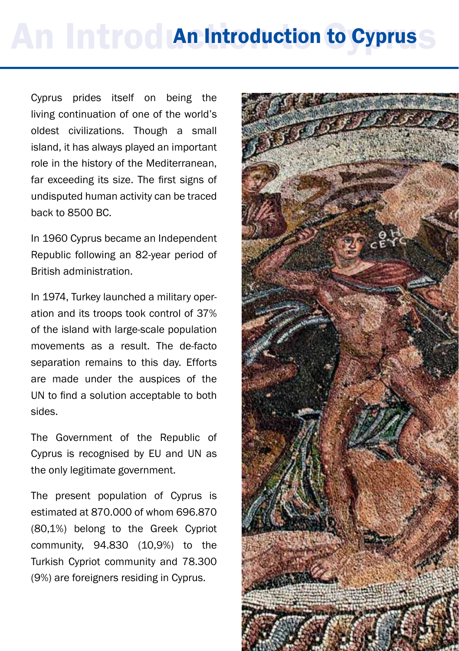# An Introduction to Cyprus

Cyprus prides itself on being the living continuation of one of the world's oldest civilizations. Though a small island, it has always played an important role in the history of the Mediterranean, far exceeding its size. The first signs of undisputed human activity can be traced back to 8500 BC.

In 1960 Cyprus became an Independent Republic following an 82-year period of British administration.

In 1974, Turkey launched a military operation and its troops took control of 37% of the island with large-scale population movements as a result. The de-facto separation remains to this day. Efforts are made under the auspices of the UN to find a solution acceptable to both sides.

The Government of the Republic of Cyprus is recognised by EU and UN as the only legitimate government.

The present population of Cyprus is estimated at 870.000 of whom 696.870 (80,1%) belong to the Greek Cypriot community, 94.830 (10,9%) to the Turkish Cypriot community and 78.300 (9%) are foreigners residing in Cyprus.

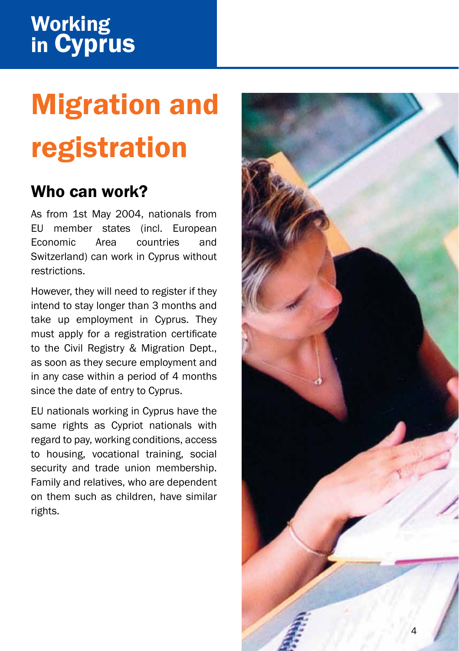# Migration and registration

## Who can work?

As from 1st May 2004, nationals from EU member states (incl. European Economic Area countries and Switzerland) can work in Cyprus without restrictions.

However, they will need to register if they intend to stay longer than 3 months and take up employment in Cyprus. They must apply for a registration certificate to the Civil Registry & Migration Dept., as soon as they secure employment and in any case within a period of 4 months since the date of entry to Cyprus.

EU nationals working in Cyprus have the same rights as Cypriot nationals with regard to pay, working conditions, access to housing, vocational training, social security and trade union membership. Family and relatives, who are dependent on them such as children, have similar rights.

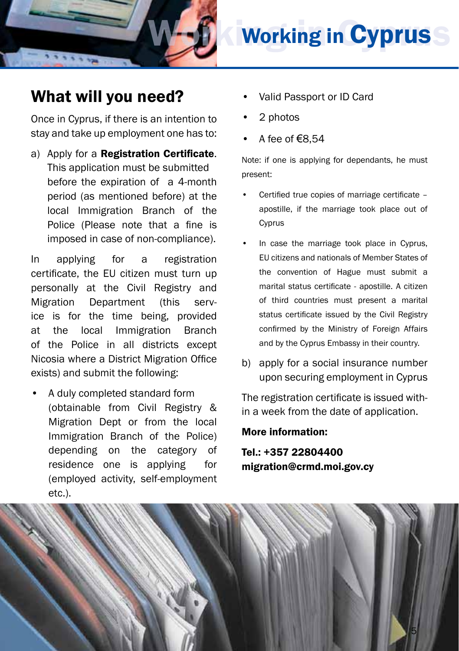

## **Working in Cyprus**

## What will you need?

Once in Cyprus, if there is an intention to stay and take up employment one has to:

a) Apply for a Registration Certificate. This application must be submitted before the expiration of a 4-month period (as mentioned before) at the local Immigration Branch of the Police (Please note that a fine is imposed in case of non-compliance).

In applying for a registration certificate, the EU citizen must turn up personally at the Civil Registry and Migration Department (this service is for the time being, provided at the local Immigration Branch of the Police in all districts except Nicosia where a District Migration Office exists) and submit the following:

• A duly completed standard form (obtainable from Civil Registry & Migration Dept or from the local Immigration Branch of the Police) depending on the category of residence one is applying for (employed activity, self-employment etc.).

- Valid Passport or ID Card
- 2 photos
- A fee of €8,54

Note: if one is applying for dependants, he must present:

- Certified true copies of marriage certificate apostille, if the marriage took place out of Cyprus
- In case the marriage took place in Cyprus, EU citizens and nationals of Member States of the convention of Hague must submit a marital status certificate - apostille. A citizen of third countries must present a marital status certificate issued by the Civil Registry confirmed by the Ministry of Foreign Affairs and by the Cyprus Embassy in their country.
- b) apply for a social insurance number upon securing employment in Cyprus

The registration certificate is issued within a week from the date of application.

#### More information:

Tel.: +357 22804400 migration@crmd.moi.gov.cy

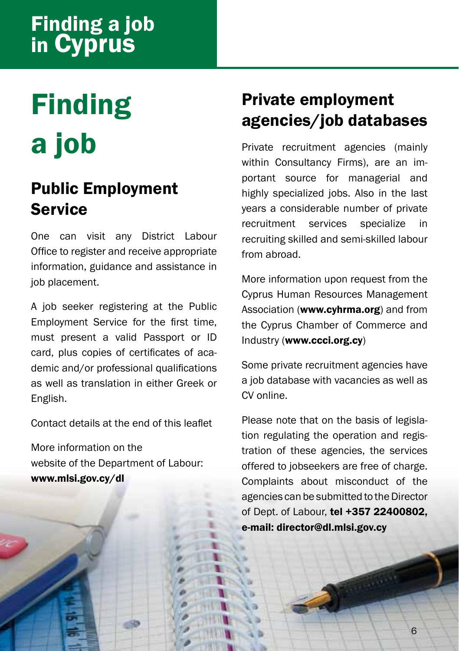## Finding a job in Cyprus

## Finding a job

## Public Employment **Service**

One can visit any District Labour Office to register and receive appropriate information, guidance and assistance in job placement.

A job seeker registering at the Public Employment Service for the first time, must present a valid Passport or ID card, plus copies of certificates of academic and/or professional qualifications as well as translation in either Greek or English.

Contact details at the end of this leaflet

More information on the website of the Department of Labour: www.mlsi.gov.cy/dl

## Private employment agencies/job databases

Private recruitment agencies (mainly within Consultancy Firms), are an important source for managerial and highly specialized jobs. Also in the last years a considerable number of private recruitment services specialize in recruiting skilled and semi-skilled labour from abroad.

More information upon request from the Cyprus Human Resources Management Association (www.cyhrma.org) and from the Cyprus Chamber of Commerce and Industry (www.ccci.org.cy)

Some private recruitment agencies have a job database with vacancies as well as CV online.

Please note that on the basis of legislation regulating the operation and registration of these agencies, the services offered to jobseekers are free of charge. Complaints about misconduct of the agencies can be submitted to the Director of Dept. of Labour, tel +357 22400802, e-mail: director@dl.mlsi.gov.cy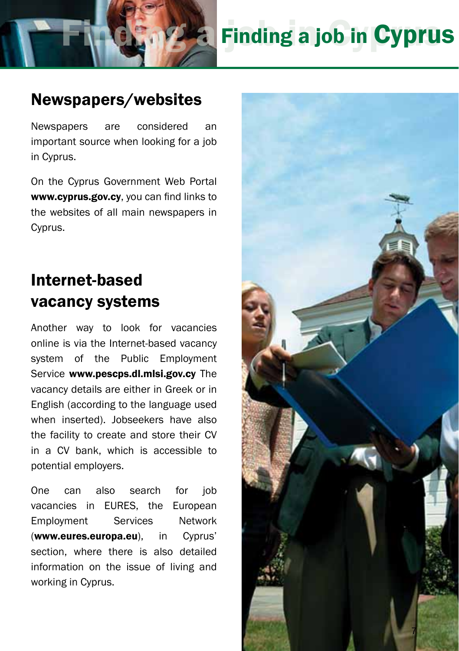

## Finding a job in Cyprus

## Newspapers/websites

Newspapers are considered an important source when looking for a job in Cyprus.

On the Cyprus Government Web Portal www.cyprus.gov.cy, you can find links to the websites of all main newspapers in Cyprus.

## Internet-based vacancy systems

Another way to look for vacancies online is via the Internet-based vacancy system of the Public Employment Service www.pescps.dl.mlsi.gov.cv The vacancy details are either in Greek or in English (according to the language used when inserted). Jobseekers have also the facility to create and store their CV in a CV bank, which is accessible to potential employers.

One can also search for job vacancies in EURES, the European Employment Services Network (www.eures.europa.eu), in Cyprus' section, where there is also detailed information on the issue of living and working in Cyprus.

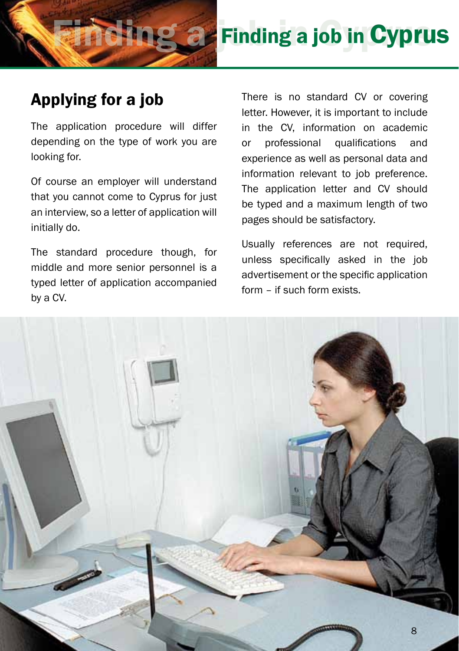

## *<b>B* Finding a job in Cyprus

## Applying for a job

The application procedure will differ depending on the type of work you are looking for.

Of course an employer will understand that you cannot come to Cyprus for just an interview, so a letter of application will initially do.

The standard procedure though, for middle and more senior personnel is a typed letter of application accompanied by a CV.

There is no standard CV or covering letter. However, it is important to include in the CV, information on academic or professional qualifications and experience as well as personal data and information relevant to job preference. The application letter and CV should be typed and a maximum length of two pages should be satisfactory.

Usually references are not required, unless specifically asked in the job advertisement or the specific application form – if such form exists.

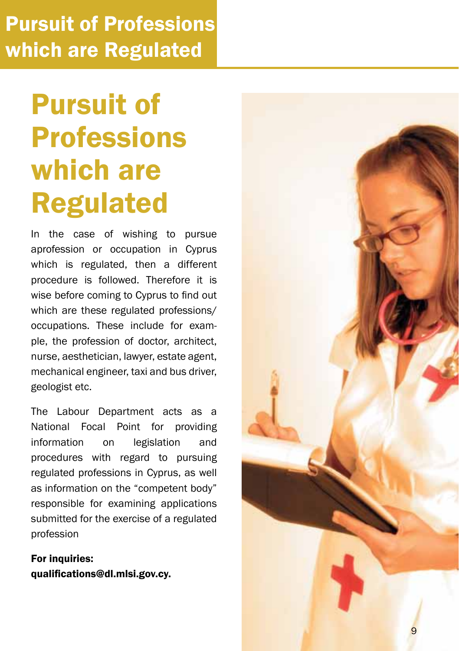## Pursuit of Professions which are Regulated

## Pursuit of Professions which are Regulated

In the case of wishing to pursue aprofession or occupation in Cyprus which is regulated, then a different procedure is followed. Therefore it is wise before coming to Cyprus to find out which are these regulated professions/ occupations. These include for exam ple, the profession of doctor, architect, nurse, aesthetician, lawyer, estate agent, mechanical engineer, taxi and bus driver, geologist etc.

The Labour Department acts as a National Focal Point for providing information on legislation and procedures with regard to pursuing regulated professions in Cyprus, as well as information on the "competent body" responsible for examining applications submitted for the exercise of a regulated profession

For inquiries: qualifications@dl.mlsi.gov.cy.

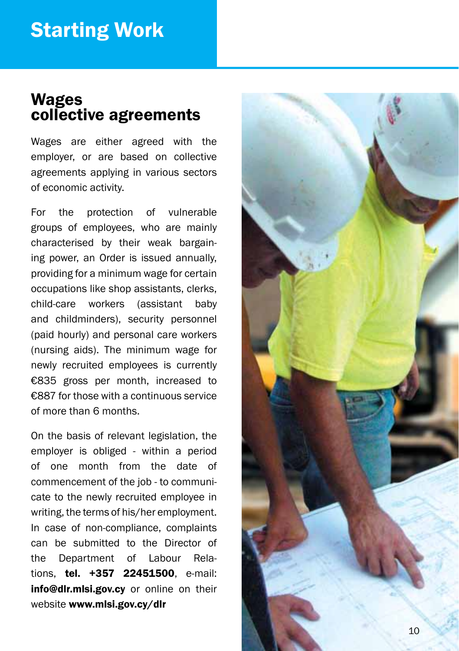### Wages collective agreements

Wages are either agreed with the employer, or are based on collective agreements applying in various sectors of economic activity.

For the protection of vulnerable groups of employees, who are mainly characterised by their weak bargain ing power, an Order is issued annually, providing for a minimum wage for certain occupations like shop assistants, clerks, child-care workers (assistant baby and childminders), security personnel (paid hourly) and personal care workers (nursing aids). The minimum wage for newly recruited employees is currently €835 gross per month, increased to €887 for those with a continuous service of more than 6 months.

On the basis of relevant legislation, the employer is obliged - within a period of one month from the date of commencement of the job - to communi cate to the newly recruited employee in writing, the terms of his/her employment. In case of non-compliance, complaints can be submitted to the Director of the Department of Labour Relations, tel. +357 22451500, e-mail: info@dlr.mlsi.gov.cv or online on their website www.mlsi.gov.cy/dlr

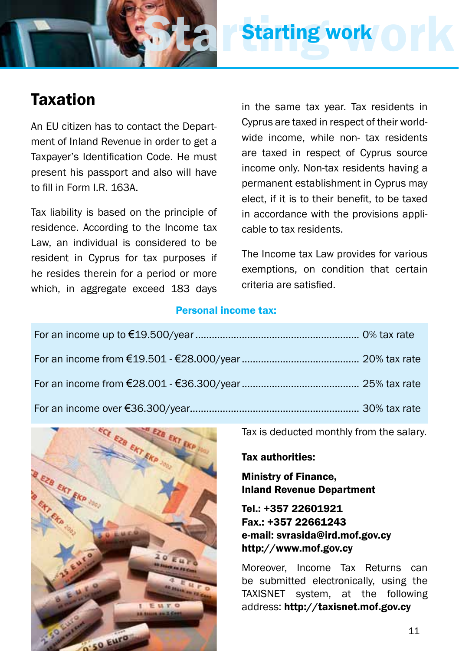

## Starting work ork Starting work

## Taxation

An EU citizen has to contact the Department of Inland Revenue in order to get a Taxpayer's Identification Code. He must present his passport and also will have to fill in Form LR 163A.

Tax liability is based on the principle of residence. According to the Income tax Law, an individual is considered to be resident in Cyprus for tax purposes if he resides therein for a period or more which, in aggregate exceed 183 days in the same tax year. Tax residents in Cyprus are taxed in respect of their worldwide income, while non- tax residents are taxed in respect of Cyprus source income only. Non-tax residents having a permanent establishment in Cyprus may elect, if it is to their benefit, to be taxed in accordance with the provisions applicable to tax residents.

The Income tax Law provides for various exemptions, on condition that certain criteria are satisfied.

#### Personal income tax:



Tax is deducted monthly from the salary.

#### Tax authorities:

Ministry of Finance, Inland Revenue Department

Tel.: +357 22601921 Fax.: +357 22661243 e-mail: svrasida@ird.mof.gov.cy http://www.mof.gov.cy

Moreover, Income Tax Returns can be submitted electronically, using the TAXISNET system, at the following address: http://taxisnet.mof.gov.cy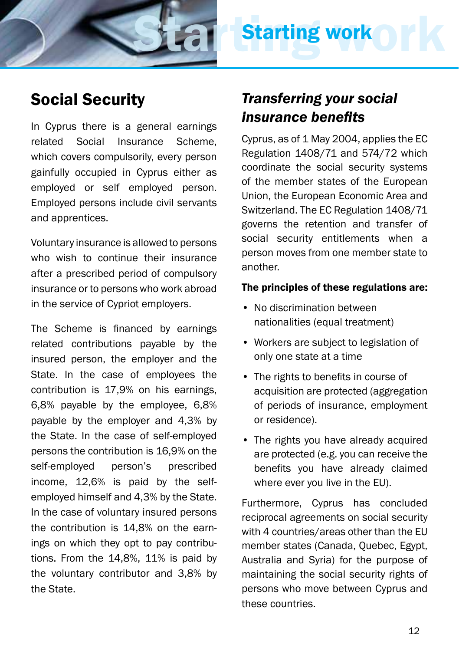

### Social Security

In Cyprus there is a general earnings related Social Insurance Scheme, which covers compulsorily, every person gainfully occupied in Cyprus either as employed or self employed person. Employed persons include civil servants and apprentices.

Voluntary insurance is allowed to persons who wish to continue their insurance after a prescribed period of compulsory insurance or to persons who work abroad in the service of Cypriot employers.

The Scheme is financed by earnings related contributions payable by the insured person, the employer and the State. In the case of employees the contribution is 17,9% on his earnings, 6,8% payable by the employee, 6,8% payable by the employer and 4,3% by the State. In the case of self-employed persons the contribution is 16,9% on the self-employed person's prescribed income, 12,6% is paid by the selfemployed himself and 4,3% by the State. In the case of voluntary insured persons the contribution is 14,8% on the earnings on which they opt to pay contributions. From the 14,8%, 11% is paid by the voluntary contributor and 3,8% by the State.

### *Transferring your social insurance benefits*

Cyprus, as of 1 May 2004, applies the EC Regulation 1408/71 and 574/72 which coordinate the social security systems of the member states of the European Union, the European Economic Area and Switzerland. The EC Regulation 1408/71 governs the retention and transfer of social security entitlements when a person moves from one member state to another.

#### The principles of these regulations are:

- No discrimination between nationalities (equal treatment)
- Workers are subject to legislation of only one state at a time
- The rights to benefits in course of acquisition are protected (aggregation of periods of insurance, employment or residence).
- The rights you have already acquired are protected (e.g. you can receive the benefits you have already claimed where ever you live in the EU).

Furthermore, Cyprus has concluded reciprocal agreements on social security with 4 countries/areas other than the EU member states (Canada, Quebec, Egypt, Australia and Syria) for the purpose of maintaining the social security rights of persons who move between Cyprus and these countries.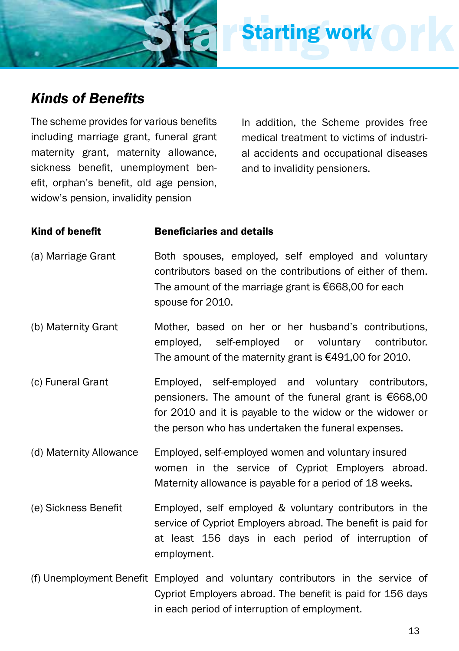

### *Kinds of Benefits*

The scheme provides for various benefits including marriage grant, funeral grant maternity grant, maternity allowance, sickness benefit, unemployment benefit, orphan's benefit, old age pension, widow's pension, invalidity pension

In addition, the Scheme provides free medical treatment to victims of industrial accidents and occupational diseases and to invalidity pensioners.

**Starting work** 

#### Kind of benefit Beneficiaries and details

- (a) Marriage Grant Both spouses, employed, self employed and voluntary contributors based on the contributions of either of them. The amount of the marriage grant is €668,00 for each spouse for 2010.
- (b) Maternity Grant Mother, based on her or her husband's contributions, employed, self-employed or voluntary contributor. The amount of the maternity grant is €491,00 for 2010.
- (c) Funeral Grant Employed, self-employed and voluntary contributors, pensioners. The amount of the funeral grant is €668,00 for 2010 and it is payable to the widow or the widower or the person who has undertaken the funeral expenses.
- (d) Maternity Allowance Employed, self-employed women and voluntary insured women in the service of Cypriot Employers abroad. Maternity allowance is payable for a period of 18 weeks.
- (e) Sickness Benefit Employed, self employed & voluntary contributors in the service of Cypriot Employers abroad. The benefit is paid for at least 156 days in each period of interruption of employment.
- (f) Unemployment Benefit Employed and voluntary contributors in the service of Cypriot Employers abroad. The benefit is paid for 156 days in each period of interruption of employment.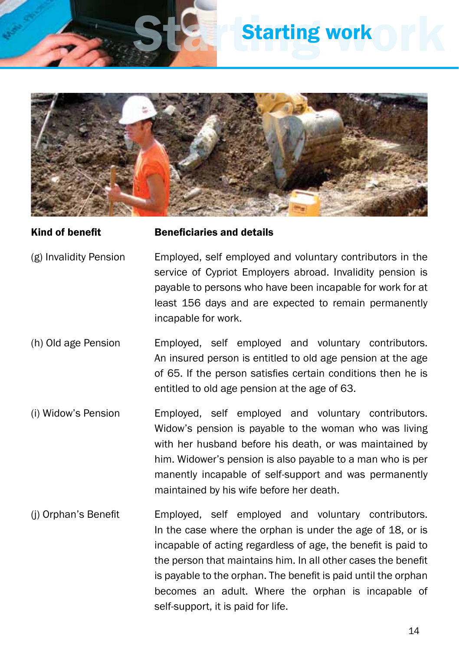

## **Starting work**



#### Kind of benefit Beneficiaries and details

- (g) Invalidity Pension Employed, self employed and voluntary contributors in the service of Cypriot Employers abroad. Invalidity pension is payable to persons who have been incapable for work for at least 156 days and are expected to remain permanently incapable for work.
- (h) Old age Pension Employed, self employed and voluntary contributors. An insured person is entitled to old age pension at the age of 65. If the person satisfies certain conditions then he is entitled to old age pension at the age of 63.
- (i) Widow's Pension Employed, self employed and voluntary contributors. Widow's pension is payable to the woman who was living with her husband before his death, or was maintained by him. Widower's pension is also payable to a man who is per manently incapable of self-support and was permanently maintained by his wife before her death.
- (j) Orphan's Benefit Employed, self employed and voluntary contributors. In the case where the orphan is under the age of 18, or is incapable of acting regardless of age, the benefit is paid to the person that maintains him. In all other cases the benefit is payable to the orphan. The benefit is paid until the orphan becomes an adult. Where the orphan is incapable of self-support, it is paid for life.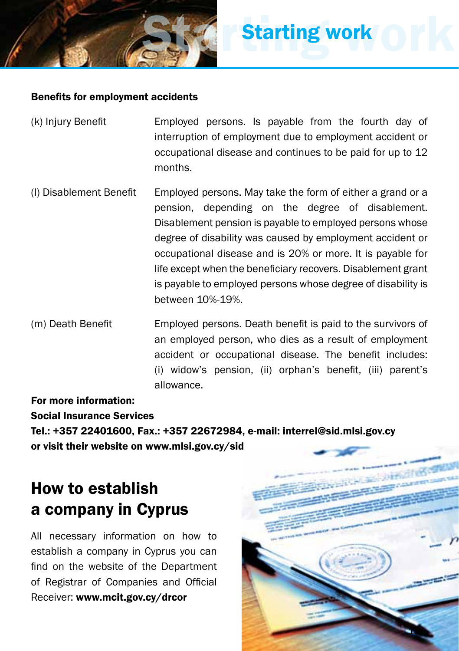#### Benefits for employment accidents

(k) Injury Benefit Employed persons. Is payable from the fourth day of interruption of employment due to employment accident or occupational disease and continues to be paid for up to 12 months.

**Starting work** 

- (l) Disablement Benefit Employed persons. May take the form of either a grand or a pension, depending on the degree of disablement. Disablement pension is payable to employed persons whose degree of disability was caused by employment accident or occupational disease and is 20% or more. It is payable for life except when the beneficiary recovers. Disablement grant is payable to employed persons whose degree of disability is between 10%-19%.
- (m) Death Benefit Employed persons. Death benefit is paid to the survivors of an employed person, who dies as a result of employment accident or occupational disease. The benefit includes: (i) widow's pension, (ii) orphan's benefit, (iii) parent's allowance.

#### For more information:

Social Insurance Services

Tel.: +357 22401600, Fax.: +357 22672984, e-mail: interrel@sid.mlsi.gov.cy or visit their website on www.mlsi.gov.cy/sid

## How to establish a company in Cyprus

All necessary information on how to establish a company in Cyprus you can find on the website of the Department of Registrar of Companies and Official Receiver: www.mcit.gov.cy/drcor

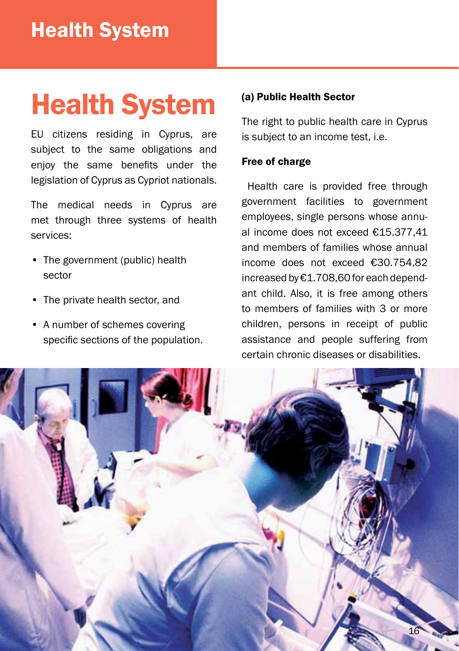## Health System

EU citizens residing in Cyprus, are subject to the same obligations and enjoy the same benefits under the legislation of Cyprus as Cypriot nationals.

The medical needs in Cyprus are met through three systems of health services:

- The government (public) health sector
- The private health sector, and
- A number of schemes covering specific sections of the population.

#### (a) Public Health Sector

The right to public health care in Cyprus is subject to an income test, i.e.

#### Free of charge

 Health care is provided free through government facilities to government employees, single persons whose annual income does not exceed €15.377,41 and members of families whose annual income does not exceed €30.754,82 increased by €1.708,60 for each dependant child. Also, it is free among others to members of families with 3 or more children, persons in receipt of public assistance and people suffering from certain chronic diseases or disabilities.

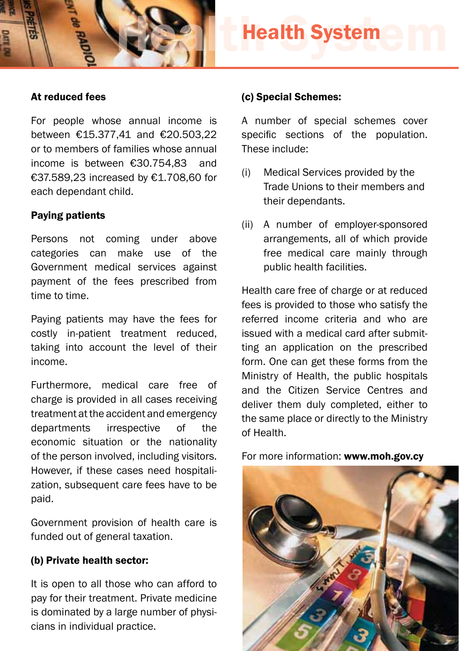

#### At reduced fees

For people whose annual income is between €15.377,41 and €20.503,22 or to members of families whose annual income is between €30.754,83 and €37.589,23 increased by €1.708,60 for each dependant child.

#### Paying patients

Persons not coming under above categories can make use of the Government medical services against payment of the fees prescribed from time to time.

Paying patients may have the fees for costly in-patient treatment reduced, taking into account the level of their income.

Furthermore, medical care free of charge is provided in all cases receiving treatment at the accident and emergency departments irrespective of the economic situation or the nationality of the person involved, including visitors. However, if these cases need hospitalization, subsequent care fees have to be paid.

Government provision of health care is funded out of general taxation.

#### (b) Private health sector:

It is open to all those who can afford to pay for their treatment. Private medicine is dominated by a large number of physicians in individual practice.

#### (c) Special Schemes:

A number of special schemes cover specific sections of the population. These include:

- (i) Medical Services provided by the Trade Unions to their members and their dependants.
- (ii) A number of employer-sponsored arrangements, all of which provide free medical care mainly through public health facilities.

Health care free of charge or at reduced fees is provided to those who satisfy the referred income criteria and who are issued with a medical card after submitting an application on the prescribed form. One can get these forms from the Ministry of Health, the public hospitals and the Citizen Service Centres and deliver them duly completed, either to the same place or directly to the Ministry of Health.

For more information: www.moh.gov.cy

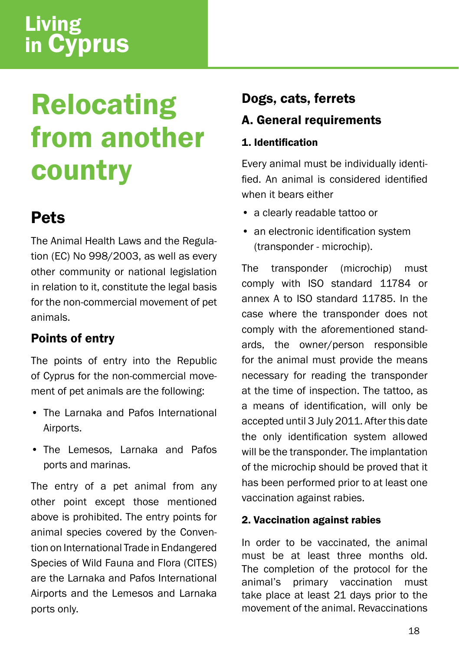## Living in Cyprus

## Relocating from another country

## **Pets**

The Animal Health Laws and the Regulation (EC) No 998/2003, as well as every other community or national legislation in relation to it, constitute the legal basis for the non-commercial movement of pet animals.

### Points of entry

The points of entry into the Republic of Cyprus for the non-commercial movement of pet animals are the following:

- The Larnaka and Pafos International Airports.
- The Lemesos, Larnaka and Pafos ports and marinas.

The entry of a pet animal from any other point except those mentioned above is prohibited. The entry points for animal species covered by the Convention on International Trade in Endangered Species of Wild Fauna and Flora (CITES) are the Larnaka and Pafos International Airports and the Lemesos and Larnaka ports only.

### Dogs, cats, ferrets

A. General requirements

#### 1. Identification

Every animal must be individually identified. An animal is considered identified when it bears either

- a clearly readable tattoo or
- an electronic identification system (transponder - microchip).

The transponder (microchip) must comply with ISO standard 11784 or annex A to ISO standard 11785. In the case where the transponder does not comply with the aforementioned standards, the owner/person responsible for the animal must provide the means necessary for reading the transponder at the time of inspection. The tattoo, as a means of identification, will only be accepted until 3 July 2011. After this date the only identification system allowed will be the transponder. The implantation of the microchip should be proved that it has been performed prior to at least one vaccination against rabies.

#### 2. Vaccination against rabies

In order to be vaccinated, the animal must be at least three months old. The completion of the protocol for the animal's primary vaccination must take place at least 21 days prior to the movement of the animal. Revaccinations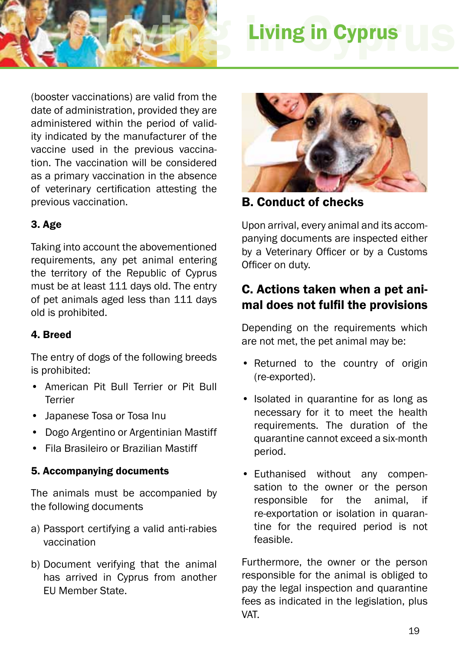

## **Living in Cyprus**

(booster vaccinations) are valid from the date of administration, provided they are administered within the period of validity indicated by the manufacturer of the vaccine used in the previous vaccination. The vaccination will be considered as a primary vaccination in the absence of veterinary certification attesting the previous vaccination.

#### 3. Age

Taking into account the abovementioned requirements, any pet animal entering the territory of the Republic of Cyprus must be at least 111 days old. The entry of pet animals aged less than 111 days old is prohibited.

#### 4. Breed

The entry of dogs of the following breeds is prohibited:

- American Pit Bull Terrier or Pit Bull Terrier
- Japanese Tosa or Tosa Inu
- Dogo Argentino or Argentinian Mastiff
- Fila Brasileiro or Brazilian Mastiff

#### 5. Accompanying documents

The animals must be accompanied by the following documents

- a) Passport certifying a valid anti-rabies vaccination
- b) Document verifying that the animal has arrived in Cyprus from another EU Member State.



B. Conduct of checks

Upon arrival, every animal and its accompanying documents are inspected either by a Veterinary Officer or by a Customs Officer on duty.

### C. Actions taken when a pet animal does not fulfil the provisions

Depending on the requirements which are not met, the pet animal may be:

- Returned to the country of origin (re-exported).
- Isolated in quarantine for as long as necessary for it to meet the health requirements. The duration of the quarantine cannot exceed a six-month period.
- Euthanised without any compensation to the owner or the person responsible for the animal, if re-exportation or isolation in quarantine for the required period is not feasible.

Furthermore, the owner or the person responsible for the animal is obliged to pay the legal inspection and quarantine fees as indicated in the legislation, plus VAT.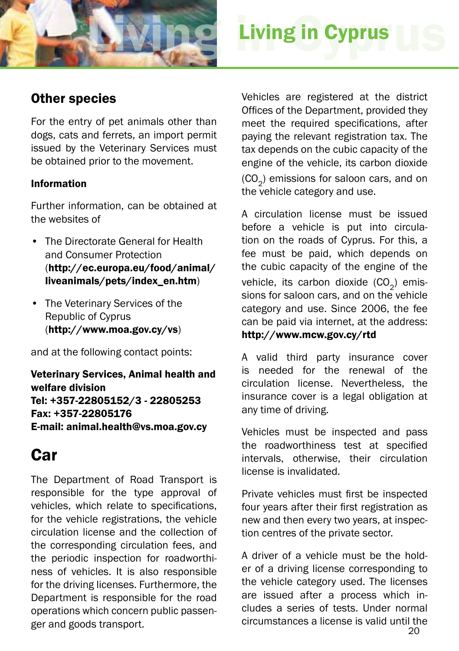

## **Living in Cyprus**

### Other species

For the entry of pet animals other than dogs, cats and ferrets, an import permit issued by the Veterinary Services must be obtained prior to the movement.

#### Information

Further information, can be obtained at the websites of

- The Directorate General for Health and Consumer Protection (http://ec.europa.eu/food/animal/ liveanimals/pets/index\_en.htm)
- The Veterinary Services of the Republic of Cyprus (http://www.moa.gov.cy/vs)

and at the following contact points:

Veterinary Services, Animal health and welfare division Tel: +357-22805152/3 - 22805253 Fax: +357-22805176 E-mail: animal.health@vs.moa.gov.cy

### Car

The Department of Road Transport is responsible for the type approval of vehicles, which relate to specifications, for the vehicle registrations, the vehicle circulation license and the collection of the corresponding circulation fees, and the periodic inspection for roadworthiness of vehicles. It is also responsible for the driving licenses. Furthermore, the Department is responsible for the road operations which concern public passenger and goods transport.

Vehicles are registered at the district Offices of the Department, provided they meet the required specifications, after paying the relevant registration tax. The tax depends on the cubic capacity of the engine of the vehicle, its carbon dioxide (CO<sub>2</sub>) emissions for saloon cars, and on the vehicle category and use.

A circulation license must be issued before a vehicle is put into circulation on the roads of Cyprus. For this, a fee must be paid, which depends on the cubic capacity of the engine of the vehicle, its carbon dioxide  $(CO<sub>2</sub>)$  emissions for saloon cars, and on the vehicle category and use. Since 2006, the fee can be paid via internet, at the address: http://www.mcw.gov.cy/rtd

#### A valid third party insurance cover is needed for the renewal of the circulation license. Nevertheless, the insurance cover is a legal obligation at any time of driving.

Vehicles must be inspected and pass the roadworthiness test at specified intervals, otherwise, their circulation license is invalidated.

Private vehicles must first be inspected four years after their first registration as new and then every two years, at inspection centres of the private sector.

A driver of a vehicle must be the holder of a driving license corresponding to the vehicle category used. The licenses are issued after a process which includes a series of tests. Under normal circumstances a license is valid until the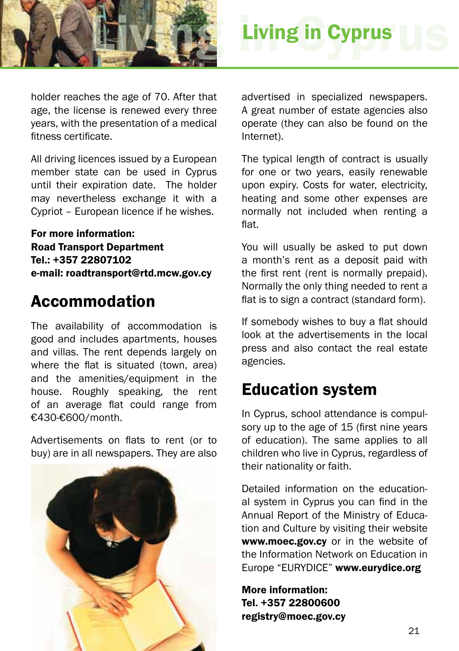

holder reaches the age of 70. After that age, the license is renewed every three years, with the presentation of a medical fitness certificate.

All driving licences issued by a European member state can be used in Cyprus until their expiration date. The holder may nevertheless exchange it with a Cypriot – European licence if he wishes.

For more information: Road Transport Department Tel.: +357 22807102 e-mail: roadtransport@rtd.mcw.gov.cy

## Accommodation

The availability of accommodation is good and includes apartments, houses and villas. The rent depends largely on where the flat is situated (town, area) and the amenities/equipment in the house. Roughly speaking, the rent of an average flat could range from €430-€600/month.

Advertisements on flats to rent (or to buy) are in all newspapers. They are also



advertised in specialized newspapers. A great number of estate agencies also operate (they can also be found on the Internet).

The typical length of contract is usually for one or two years, easily renewable upon expiry. Costs for water, electricity, heating and some other expenses are normally not included when renting a flat.

You will usually be asked to put down a month's rent as a deposit paid with the first rent (rent is normally prepaid). Normally the only thing needed to rent a flat is to sign a contract (standard form).

If somebody wishes to buy a flat should look at the advertisements in the local press and also contact the real estate agencies.

## Education system

In Cyprus, school attendance is compulsory up to the age of 15 (first nine years of education). The same applies to all children who live in Cyprus, regardless of their nationality or faith.

Detailed information on the educational system in Cyprus you can find in the Annual Report of the Ministry of Education and Culture by visiting their website www.moec.gov.cy or in the website of the Information Network on Education in Europe "EURYDICE" www.eurydice.org

More information: Tel. +357 22800600 registry@moec.gov.cy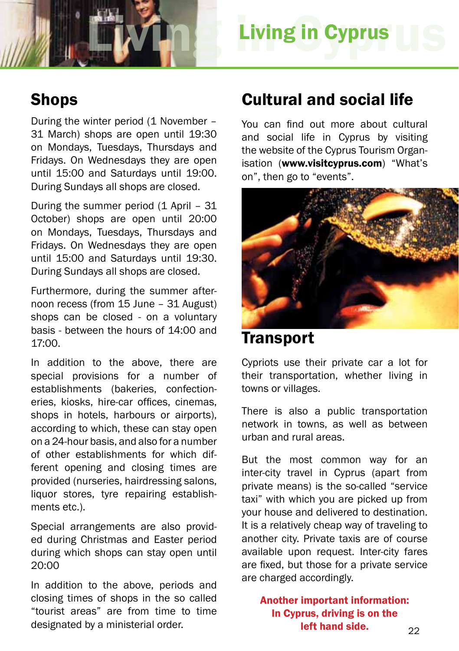

### **Shops**

During the winter period (1 November – 31 March) shops are open until 19:30 on Mondays, Tuesdays, Thursdays and Fridays. On Wednesdays they are open until 15:00 and Saturdays until 19:00. During Sundays all shops are closed.

During the summer period (1 April – 31 October) shops are open until 20:00 on Mondays, Tuesdays, Thursdays and Fridays. On Wednesdays they are open until 15:00 and Saturdays until 19:30. During Sundays all shops are closed.

Furthermore, during the summer afternoon recess (from 15 June – 31 August) shops can be closed - on a voluntary basis - between the hours of 14:00 and 17:00.

In addition to the above, there are special provisions for a number of establishments (bakeries, confectioneries, kiosks, hire-car offices, cinemas, shops in hotels, harbours or airports), according to which, these can stay open on a 24-hour basis, and also for a number of other establishments for which different opening and closing times are provided (nurseries, hairdressing salons, liquor stores, tyre repairing establishments etc.).

Special arrangements are also provided during Christmas and Easter period during which shops can stay open until 20:00

In addition to the above, periods and closing times of shops in the so called "tourist areas" are from time to time designated by a ministerial order.

### Cultural and social life

You can find out more about cultural and social life in Cyprus by visiting the website of the Cyprus Tourism Organisation (www.visitcyprus.com) "What's on", then go to "events".



### **Transport**

Cypriots use their private car a lot for their transportation, whether living in towns or villages.

There is also a public transportation network in towns, as well as between urban and rural areas.

But the most common way for an inter-city travel in Cyprus (apart from private means) is the so-called "service taxi" with which you are picked up from your house and delivered to destination. It is a relatively cheap way of traveling to another city. Private taxis are of course available upon request. Inter-city fares are fixed, but those for a private service are charged accordingly.

Another important information: In Cyprus, driving is on the left hand side.  $22$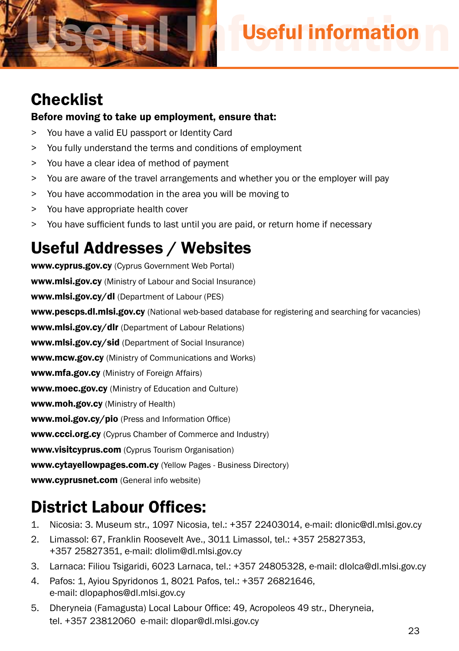

## **Checklist**

#### Before moving to take up employment, ensure that:

- > You have a valid EU passport or Identity Card
- > You fully understand the terms and conditions of employment
- > You have a clear idea of method of payment
- > You are aware of the travel arrangements and whether you or the employer will pay
- > You have accommodation in the area you will be moving to
- > You have appropriate health cover
- > You have sufficient funds to last until you are paid, or return home if necessary

## Useful Addresses / Websites

www.cyprus.gov.cy (Cyprus Government Web Portal) www.mlsi.gov.cy (Ministry of Labour and Social Insurance) www.mlsi.gov.cy/dl (Department of Labour (PES) www.pescps.dl.mlsi.gov.cy (National web-based database for registering and searching for vacancies) www.mlsi.gov.cy/dlr (Department of Labour Relations) www.mlsi.gov.cy/sid (Department of Social Insurance) www.mcw.gov.cy (Ministry of Communications and Works) www.mfa.gov.cy (Ministry of Foreign Affairs) www.moec.gov.cy (Ministry of Education and Culture) www.moh.gov.cy (Ministry of Health) www.moi.gov.cy/pio (Press and Information Office) www.ccci.org.cy (Cyprus Chamber of Commerce and Industry) www.visitcyprus.com (Cyprus Tourism Organisation) www.cytayellowpages.com.cy (Yellow Pages - Business Directory) www.cyprusnet.com (General info website)

## District Labour Offices:

- 1. Nicosia: 3. Museum str., 1097 Nicosia, tel.: +357 22403014, e-mail: dlonic@dl.mlsi.gov.cy
- 2. Limassol: 67, Franklin Roosevelt Ave., 3011 Limassol, tel.: +357 25827353, +357 25827351, e-mail: dlolim@dl.mlsi.gov.cy
- 3. Larnaca: Filiou Tsigaridi, 6023 Larnaca, tel.: +357 24805328, e-mail: dlolca@dl.mlsi.gov.cy
- 4. Pafos: 1, Ayiou Spyridonos 1, 8021 Pafos, tel.: +357 26821646, e-mail: dlopaphos@dl.mlsi.gov.cy
- 5. Dheryneia (Famagusta) Local Labour Office: 49, Acropoleos 49 str., Dheryneia, tel. +357 23812060 e-mail: dlopar@dl.mlsi.gov.cy